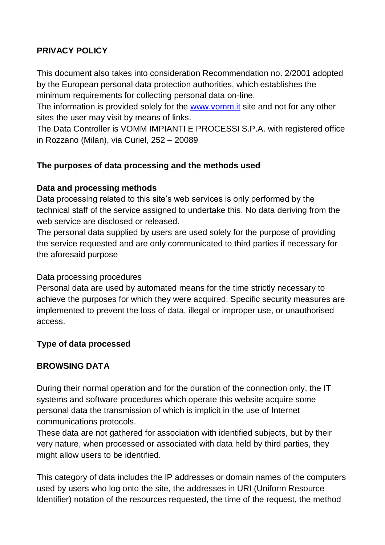## **PRIVACY POLICY**

This document also takes into consideration Recommendation no. 2/2001 adopted by the European personal data protection authorities, which establishes the minimum requirements for collecting personal data on-line.

The information is provided solely for the www.vomm. It site and not for any other sites the user may visit by means of links.

The Data Controller is VOMM IMPIANTI E PROCESSI S.P.A. with registered office in Rozzano (Milan), via Curiel, 252 – 20089

### **The purposes of data processing and the methods used**

### **Data and processing methods**

Data processing related to this site's web services is only performed by the technical staff of the service assigned to undertake this. No data deriving from the web service are disclosed or released.

The personal data supplied by users are used solely for the purpose of providing the service requested and are only communicated to third parties if necessary for the aforesaid purpose

### Data processing procedures

Personal data are used by automated means for the time strictly necessary to achieve the purposes for which they were acquired. Specific security measures are implemented to prevent the loss of data, illegal or improper use, or unauthorised access.

### **Type of data processed**

## **BROWSING DATA**

During their normal operation and for the duration of the connection only, the IT systems and software procedures which operate this website acquire some personal data the transmission of which is implicit in the use of Internet communications protocols.

These data are not gathered for association with identified subjects, but by their very nature, when processed or associated with data held by third parties, they might allow users to be identified.

This category of data includes the IP addresses or domain names of the computers used by users who log onto the site, the addresses in URI (Uniform Resource Identifier) notation of the resources requested, the time of the request, the method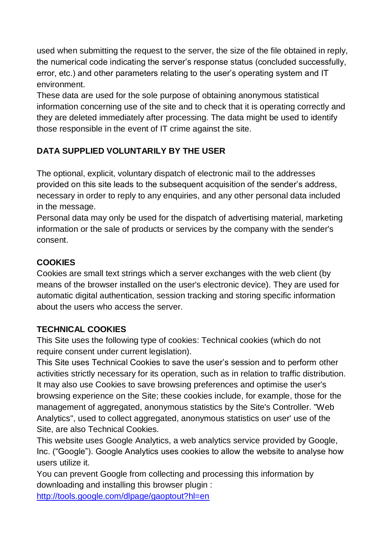used when submitting the request to the server, the size of the file obtained in reply, the numerical code indicating the server's response status (concluded successfully, error, etc.) and other parameters relating to the user's operating system and IT environment.

These data are used for the sole purpose of obtaining anonymous statistical information concerning use of the site and to check that it is operating correctly and they are deleted immediately after processing. The data might be used to identify those responsible in the event of IT crime against the site.

# **DATA SUPPLIED VOLUNTARILY BY THE USER**

The optional, explicit, voluntary dispatch of electronic mail to the addresses provided on this site leads to the subsequent acquisition of the sender's address, necessary in order to reply to any enquiries, and any other personal data included in the message.

Personal data may only be used for the dispatch of advertising material, marketing information or the sale of products or services by the company with the sender's consent.

### **COOKIES**

Cookies are small text strings which a server exchanges with the web client (by means of the browser installed on the user's electronic device). They are used for automatic digital authentication, session tracking and storing specific information about the users who access the server.

## **TECHNICAL COOKIES**

This Site uses the following type of cookies: Technical cookies (which do not require consent under current legislation).

This Site uses Technical Cookies to save the user's session and to perform other activities strictly necessary for its operation, such as in relation to traffic distribution. It may also use Cookies to save browsing preferences and optimise the user's browsing experience on the Site; these cookies include, for example, those for the management of aggregated, anonymous statistics by the Site's Controller. "Web Analytics", used to collect aggregated, anonymous statistics on user' use of the Site, are also Technical Cookies.

This website uses Google Analytics, a web analytics service provided by Google, Inc. ("Google"). Google Analytics uses cookies to allow the website to analyse how users utilize it.

You can prevent Google from collecting and processing this information by downloading and installing this browser plugin :

<http://tools.google.com/dlpage/gaoptout?hl=en>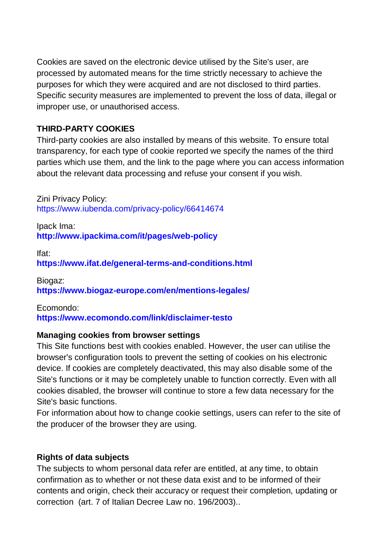Cookies are saved on the electronic device utilised by the Site's user, are processed by automated means for the time strictly necessary to achieve the purposes for which they were acquired and are not disclosed to third parties. Specific security measures are implemented to prevent the loss of data, illegal or improper use, or unauthorised access.

### **THIRD-PARTY COOKIES**

Third-party cookies are also installed by means of this website. To ensure total transparency, for each type of cookie reported we specify the names of the third parties which use them, and the link to the page where you can access information about the relevant data processing and refuse your consent if you wish.

Zini Privacy Policy: https://www.iubenda.com/privacy-policy/66414674

Ipack Ima: **http://www.ipackima.com/it/pages/web-policy**

Ifat: **https://www.ifat.de/general-terms-and-conditions.html**

Biogaz: **https://www.biogaz-europe.com/en/mentions-legales/**

Ecomondo: **https://www.ecomondo.com/link/disclaimer-testo**

#### **Managing cookies from browser settings**

This Site functions best with cookies enabled. However, the user can utilise the browser's configuration tools to prevent the setting of cookies on his electronic device. If cookies are completely deactivated, this may also disable some of the Site's functions or it may be completely unable to function correctly. Even with all cookies disabled, the browser will continue to store a few data necessary for the Site's basic functions.

For information about how to change cookie settings, users can refer to the site of the producer of the browser they are using.

### **Rights of data subjects**

The subjects to whom personal data refer are entitled, at any time, to obtain confirmation as to whether or not these data exist and to be informed of their contents and origin, check their accuracy or request their completion, updating or correction [\(art. 7 of Italian Decree Law no. 196/2003\)..](http://www.eurizoncapital.it/portalWeb40/eurizonweb/eurizon/documenti/pagine/privacy_art7.pdf)